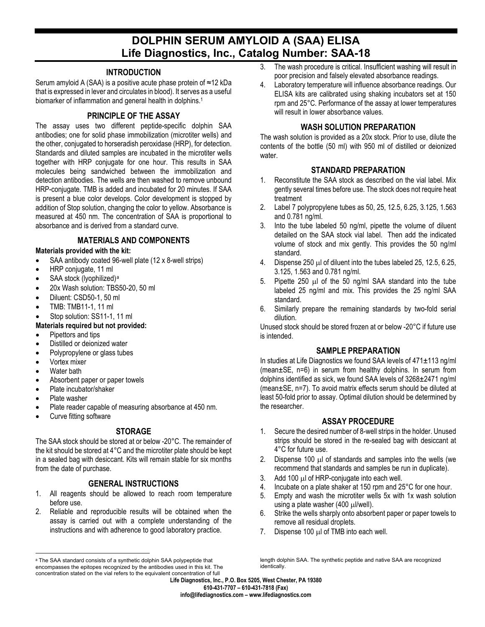# **DOLPHIN SERUM AMYLOID A (SAA) ELISA Life Diagnostics, Inc., Catalog Number: SAA-18**

#### **INTRODUCTION**

Serum amyloid A (SAA) is a positive acute phase protein of ≈12 kDa that is expressed in lever and circulates in blood). It serves as a useful biomarker of inflammation and general health in dolphins.<sup>1</sup>

### **PRINCIPLE OF THE ASSAY**

The assay uses two different peptide-specific dolphin SAA antibodies; one for solid phase immobilization (microtiter wells) and the other, conjugated to horseradish peroxidase (HRP), for detection. Standards and diluted samples are incubated in the microtiter wells together with HRP conjugate for one hour. This results in SAA molecules being sandwiched between the immobilization and detection antibodies. The wells are then washed to remove unbound HRP-conjugate. TMB is added and incubated for 20 minutes. If SAA is present a blue color develops. Color development is stopped by addition of Stop solution, changing the color to yellow. Absorbance is measured at 450 nm. The concentration of SAA is proportional to absorbance and is derived from a standard curve.

# **MATERIALS AND COMPONENTS**

### **Materials provided with the kit:**

- SAA antibody coated 96-well plate (12 x 8-well strips)
- HRP conjugate, 11 ml
- SAA stock (lyophilized)<sup>[a](#page-0-0)</sup>
- 20x Wash solution: TBS50-20, 50 ml
- Diluent: CSD50-1, 50 ml
- TMB: TMB11-1, 11 ml
- Stop solution: SS11-1, 11 ml

#### **Materials required but not provided:**

- Pipettors and tips
- Distilled or deionized water
- Polypropylene or glass tubes
- Vortex mixer
- Water bath
- Absorbent paper or paper towels
- Plate incubator/shaker
- Plate washer
- Plate reader capable of measuring absorbance at 450 nm.
- Curve fitting software

# **STORAGE**

The SAA stock should be stored at or below -20°C. The remainder of the kit should be stored at 4°C and the microtiter plate should be kept in a sealed bag with desiccant. Kits will remain stable for six months from the date of purchase.

# **GENERAL INSTRUCTIONS**

- 1. All reagents should be allowed to reach room temperature before use.
- 2. Reliable and reproducible results will be obtained when the assay is carried out with a complete understanding of the instructions and with adherence to good laboratory practice.
- 3. The wash procedure is critical. Insufficient washing will result in poor precision and falsely elevated absorbance readings.
- 4. Laboratory temperature will influence absorbance readings. Our ELISA kits are calibrated using shaking incubators set at 150 rpm and 25°C. Performance of the assay at lower temperatures will result in lower absorbance values.

### **WASH SOLUTION PREPARATION**

The wash solution is provided as a 20x stock. Prior to use, dilute the contents of the bottle (50 ml) with 950 ml of distilled or deionized water.

# **STANDARD PREPARATION**

- 1. Reconstitute the SAA stock as described on the vial label. Mix gently several times before use. The stock does not require heat treatment
- 2. Label 7 polypropylene tubes as 50, 25, 12.5, 6.25, 3.125, 1.563 and 0.781 ng/ml.
- 3. Into the tube labeled 50 ng/ml, pipette the volume of diluent detailed on the SAA stock vial label. Then add the indicated volume of stock and mix gently. This provides the 50 ng/ml standard.
- 4. Dispense 250 µl of diluent into the tubes labeled 25, 12.5, 6.25, 3.125, 1.563 and 0.781 ng/ml.
- 5. Pipette 250 µl of the 50 ng/ml SAA standard into the tube labeled 25 ng/ml and mix. This provides the 25 ng/ml SAA standard.
- 6. Similarly prepare the remaining standards by two-fold serial dilution.

Unused stock should be stored frozen at or below -20°C if future use is intended.

# **SAMPLE PREPARATION**

In studies at Life Diagnostics we found SAA levels of 471±113 ng/ml (mean±SE, n=6) in serum from healthy dolphins. In serum from dolphins identified as sick, we found SAA levels of 3268±2471 ng/ml (mean±SE, n=7). To avoid matrix effects serum should be diluted at least 50-fold prior to assay. Optimal dilution should be determined by the researcher.

#### **ASSAY PROCEDURE**

- 1. Secure the desired number of 8-well strips in the holder. Unused strips should be stored in the re-sealed bag with desiccant at 4°C for future use.
- 2. Dispense 100  $\mu$  of standards and samples into the wells (we recommend that standards and samples be run in duplicate).
- 3. Add 100 µl of HRP-conjugate into each well.
- 4. Incubate on a plate shaker at 150 rpm and 25°C for one hour.
- 5. Empty and wash the microtiter wells 5x with 1x wash solution using a plate washer (400  $\mu$ l/well).
- 6. Strike the wells sharply onto absorbent paper or paper towels to remove all residual droplets.
- 7. Dispense 100 µl of TMB into each well.

**Life Diagnostics, Inc., P.O. Box 5205, West Chester, PA 19380 610-431-7707 – 610-431-7818 (Fax) info@lifediagnostics.com – www.lifediagnostics.com**

<span id="page-0-0"></span>a The SAA standard consists of a synthetic dolphin SAA polypeptide that encompasses the epitopes recognized by the antibodies used in this kit. The concentration stated on the vial refers to the equivalent concentration of full

length dolphin SAA. The synthetic peptide and native SAA are recognized identically.